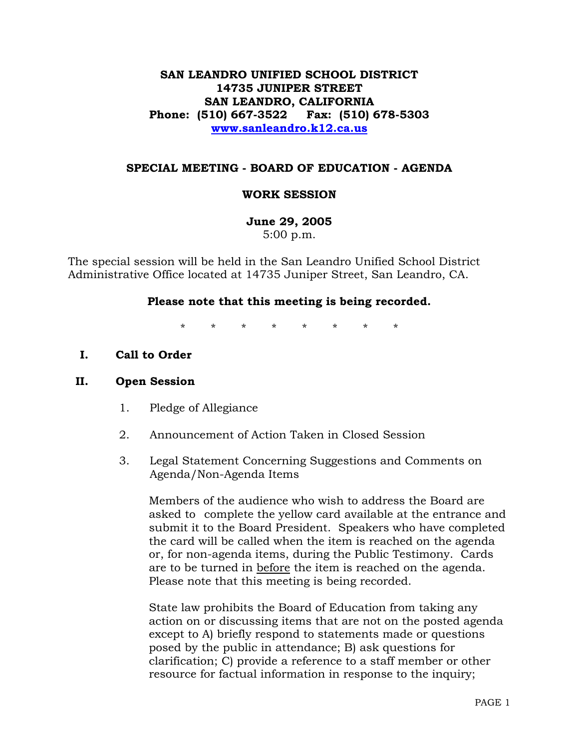## **SAN LEANDRO UNIFIED SCHOOL DISTRICT 14735 JUNIPER STREET SAN LEANDRO, CALIFORNIA Phone: (510) 667-3522 Fax: (510) 678-5303 www.sanleandro.k12.ca.us**

### **SPECIAL MEETING - BOARD OF EDUCATION - AGENDA**

### **WORK SESSION**

**June 29, 2005**  5:00 p.m.

The special session will be held in the San Leandro Unified School District Administrative Office located at 14735 Juniper Street, San Leandro, CA.

#### **Please note that this meeting is being recorded.**

\* \* \* \* \* \* \* \*

**I. Call to Order** 

#### **II. Open Session**

- 1. Pledge of Allegiance
- 2. Announcement of Action Taken in Closed Session
- 3. Legal Statement Concerning Suggestions and Comments on Agenda/Non-Agenda Items

 Members of the audience who wish to address the Board are asked to complete the yellow card available at the entrance and submit it to the Board President. Speakers who have completed the card will be called when the item is reached on the agenda or, for non-agenda items, during the Public Testimony. Cards are to be turned in before the item is reached on the agenda. Please note that this meeting is being recorded.

 State law prohibits the Board of Education from taking any action on or discussing items that are not on the posted agenda except to A) briefly respond to statements made or questions posed by the public in attendance; B) ask questions for clarification; C) provide a reference to a staff member or other resource for factual information in response to the inquiry;